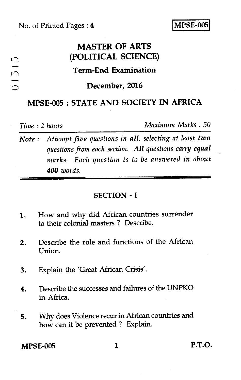# **MASTER OF ARTS (POLITICAL SCIENCE)**

## **Term-End Examination**

#### **December, 2016**

### **MPSE-005 : STATE AND SOCIETY IN AFRICA**

*Time :* 2 *hours Maximum Marks : 50* 

*Note : Attempt five questions in all, selecting at least two questions from each section. All questions carry equal marks. Each question is to be answered in about 400 words.* 

#### **SECTION - I**

- 1. How and why did African countries surrender to their colonial masters ? Describe.
- 2. Describe the role and functions of the African Union.
- 3. Explain the 'Great African Crisis'.
- 4. Describe the successes and failures of the UNPKO in Africa.
- 5. Why does Violence recur in African countries and how can it be prevented ? Explain.

**MPSE-005 1 P.T.O.**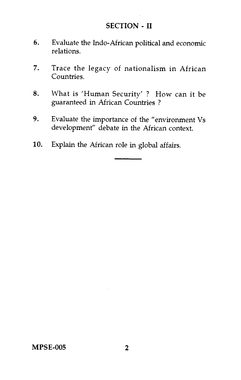#### **SECTION - II**

- 6. Evaluate the Indo-African political and economic relations.
- 7. Trace the legacy of nationalism in African Countries.
- 8. What is 'Human Security' ? How can it be guaranteed in African Countries ?
- 9. Evaluate the importance of the "environment Vs development" debate in the African context.
- 10. Explain the African role in global affairs.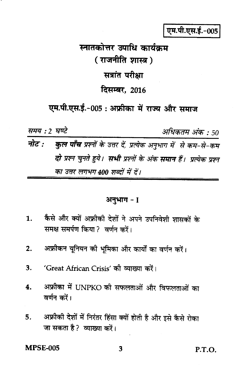एम.पी.एस.ई.-005

# स्नातकोत्तर उपाधि कार्यकम ( राजनीति शास्त्र ) सत्रांत परीक्षा दिसम्बर, 2016

एम.पी.एस.ई.-005 : अफ्रीका में राज्य और समाज

समय : 2 घण्टे अधिकतम अंक : 50 नोट : कुल पाँच प्रश्नों के उत्तर दें, प्रत्येक अनुभाग में से कम-से-कम दो प्रश्न चुनते हुये। सभी प्रश्नों के अंक समान हैं। प्रत्येक प्रश्न का उत्तर लगभग 400 शब्दों में दें।

#### अनुभाग - 1

- कैसे और क्यों अफ्रीकी देशों ने अपने उपनिवेशी शासकों के  $\mathbf{1}$ . समक्ष समर्पण किया ? वर्णन कों।
- अफ्रीकन युनियन की भूमिका और कार्यों का वर्णन करें।  $2.$
- 'Great African Crisis' की व्याख्या करें।  $3.$
- अफ्रीका में UNPKO की सफलताओं और विफलताओं का  $\overline{\mathbf{4}}$ . वर्णन करें।
- अफ्रीकी देशों में निरंतर हिंसा क्यों होती है और इसे कैसे रोका 5. जा सकता है? व्याख्या करें।

**MPSE-005** 

P.T.O.